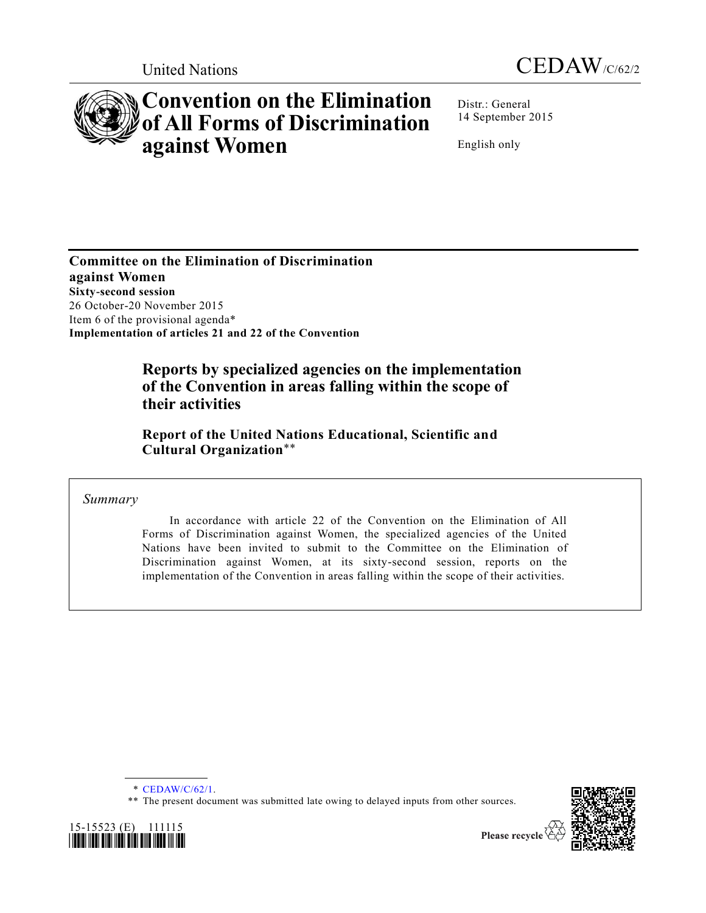



# **Convention on the Elimination of All Forms of Discrimination against Women**

Distr.: General 14 September 2015

English only

**Committee on the Elimination of Discrimination against Women Sixty-second session** 26 October-20 November 2015 Item 6 of the provisional agenda\* **Implementation of articles 21 and 22 of the Convention**

### **Reports by specialized agencies on the implementation of the Convention in areas falling within the scope of their activities**

**Report of the United Nations Educational, Scientific and Cultural Organization**\*\*

*Summary*

In accordance with article 22 of the Convention on the Elimination of All Forms of Discrimination against Women, the specialized agencies of the United Nations have been invited to submit to the Committee on the Elimination of Discrimination against Women, at its sixty-second session, reports on the implementation of the Convention in areas falling within the scope of their activities.

<sup>\*\*</sup> The present document was submitted late owing to delayed inputs from other sources.





<sup>\*</sup> [CEDAW/C/62/1.](http://undocs.org/CEDAW/C/62/1)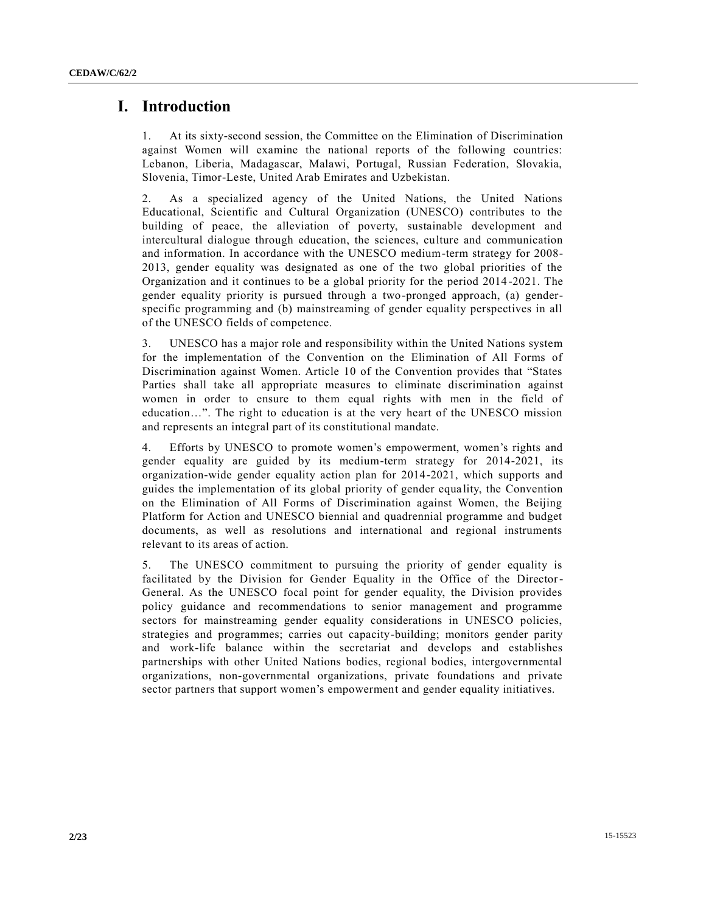### **I. Introduction**

1. At its sixty-second session, the Committee on the Elimination of Discrimination against Women will examine the national reports of the following countries: Lebanon, Liberia, Madagascar, Malawi, Portugal, Russian Federation, Slovakia, Slovenia, Timor-Leste, United Arab Emirates and Uzbekistan.

2. As a specialized agency of the United Nations, the United Nations Educational, Scientific and Cultural Organization (UNESCO) contributes to the building of peace, the alleviation of poverty, sustainable development and intercultural dialogue through education, the sciences, culture and communication and information. In accordance with the UNESCO medium-term strategy for 2008- 2013, gender equality was designated as one of the two global priorities of the Organization and it continues to be a global priority for the period 2014 -2021. The gender equality priority is pursued through a two-pronged approach, (a) genderspecific programming and (b) mainstreaming of gender equality perspectives in all of the UNESCO fields of competence.

3. UNESCO has a major role and responsibility within the United Nations system for the implementation of the Convention on the Elimination of All Forms of Discrimination against Women. Article 10 of the Convention provides that "States Parties shall take all appropriate measures to eliminate discrimination against women in order to ensure to them equal rights with men in the field of education…". The right to education is at the very heart of the UNESCO mission and represents an integral part of its constitutional mandate.

4. Efforts by UNESCO to promote women's empowerment, women's rights and gender equality are guided by its medium-term strategy for 2014-2021, its organization-wide gender equality action plan for 2014-2021, which supports and guides the implementation of its global priority of gender equa lity, the Convention on the Elimination of All Forms of Discrimination against Women, the Beijing Platform for Action and UNESCO biennial and quadrennial programme and budget documents, as well as resolutions and international and regional instruments relevant to its areas of action.

5. The UNESCO commitment to pursuing the priority of gender equality is facilitated by the Division for Gender Equality in the Office of the Director-General. As the UNESCO focal point for gender equality, the Division provides policy guidance and recommendations to senior management and programme sectors for mainstreaming gender equality considerations in UNESCO policies, strategies and programmes; carries out capacity-building; monitors gender parity and work-life balance within the secretariat and develops and establishes partnerships with other United Nations bodies, regional bodies, intergovernmental organizations, non-governmental organizations, private foundations and private sector partners that support women's empowerment and gender equality initiatives.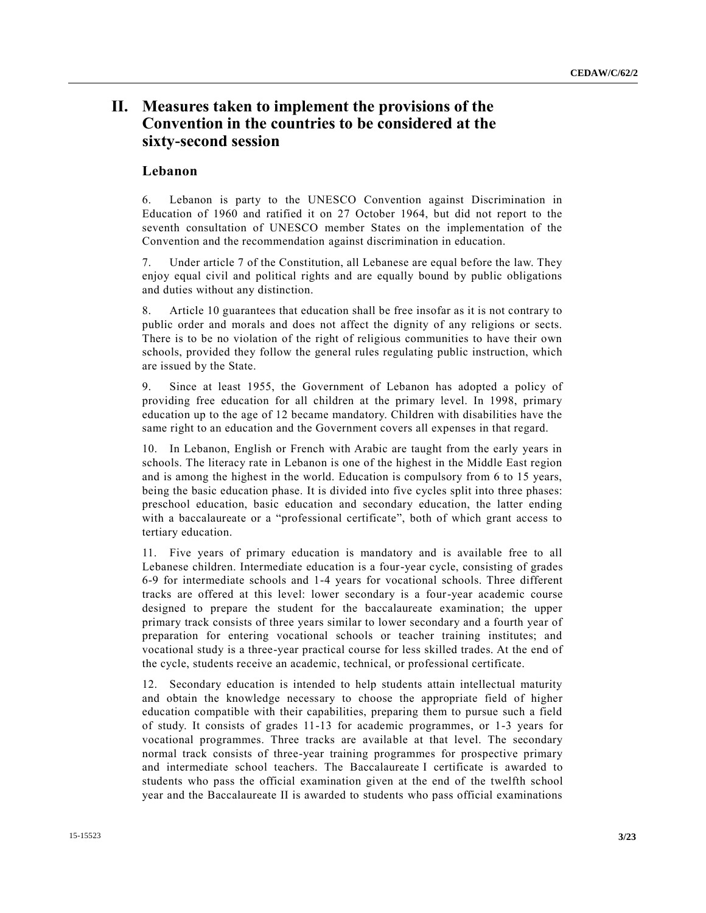### **II. Measures taken to implement the provisions of the Convention in the countries to be considered at the sixty-second session**

#### **Lebanon**

6. Lebanon is party to the UNESCO Convention against Discrimination in Education of 1960 and ratified it on 27 October 1964, but did not report to the seventh consultation of UNESCO member States on the implementation of the Convention and the recommendation against discrimination in education.

7. Under article 7 of the Constitution, all Lebanese are equal before the law. They enjoy equal civil and political rights and are equally bound by public obligations and duties without any distinction.

8. Article 10 guarantees that education shall be free insofar as it is not contrary to public order and morals and does not affect the dignity of any religions or sects. There is to be no violation of the right of religious communities to have their own schools, provided they follow the general rules regulating public instruction, which are issued by the State.

9. Since at least 1955, the Government of Lebanon has adopted a policy of providing free education for all children at the primary level. In 1998, primary education up to the age of 12 became mandatory. Children with disabilities have the same right to an education and the Government covers all expenses in that regard.

10. In Lebanon, English or French with Arabic are taught from the early years in schools. The literacy rate in Lebanon is one of the highest in the Middle East region and is among the highest in the world. Education is compulsory from 6 to 15 years, being the basic education phase. It is divided into five cycles split into three phases: preschool education, basic education and secondary education, the latter ending with a baccalaureate or a "professional certificate", both of which grant access to tertiary education.

11. Five years of primary education is mandatory and is available free to all Lebanese children. Intermediate education is a four-year cycle, consisting of grades 6-9 for intermediate schools and 1-4 years for vocational schools. Three different tracks are offered at this level: lower secondary is a four-year academic course designed to prepare the student for the baccalaureate examination; the upper primary track consists of three years similar to lower secondary and a fourth year of preparation for entering vocational schools or teacher training institutes; and vocational study is a three-year practical course for less skilled trades. At the end of the cycle, students receive an academic, technical, or professional certificate.

12. Secondary education is intended to help students attain intellectual maturity and obtain the knowledge necessary to choose the appropriate field of higher education compatible with their capabilities, preparing them to pursue such a field of study. It consists of grades 11-13 for academic programmes, or 1-3 years for vocational programmes. Three tracks are available at that level. The secondary normal track consists of three-year training programmes for prospective primary and intermediate school teachers. The Baccalaureate I certificate is awarded to students who pass the official examination given at the end of the twelfth school year and the Baccalaureate II is awarded to students who pass official examinations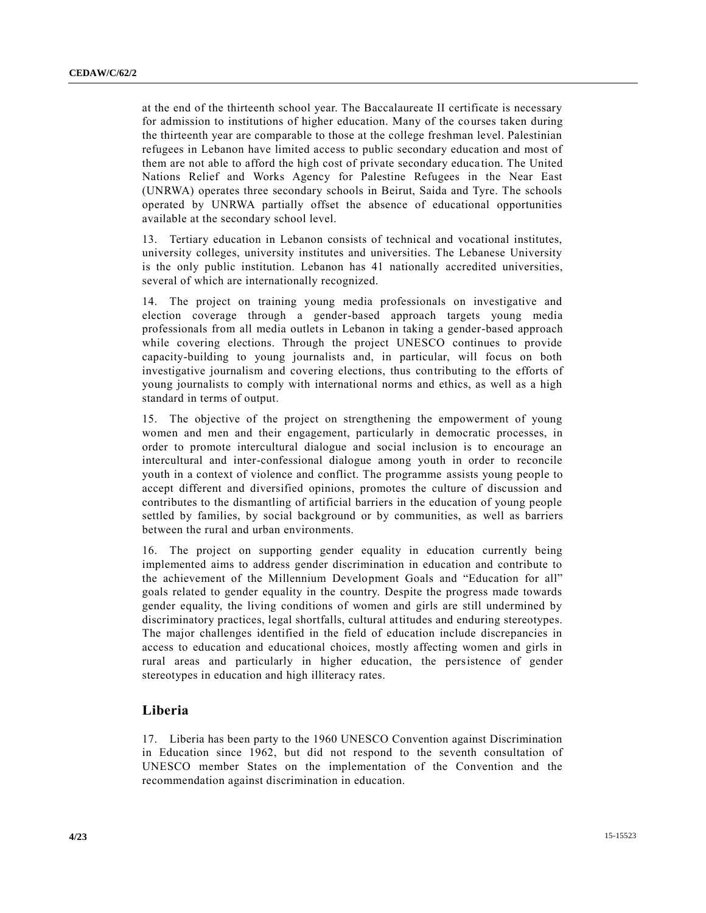at the end of the thirteenth school year. The Baccalaureate II certificate is necessary for admission to institutions of higher education. Many of the courses taken during the thirteenth year are comparable to those at the college freshman level. Palestinian refugees in Lebanon have limited access to public secondary education and most of them are not able to afford the high cost of private secondary educa tion. The United Nations Relief and Works Agency for Palestine Refugees in the Near East (UNRWA) operates three secondary schools in Beirut, Saida and Tyre. The schools operated by UNRWA partially offset the absence of educational opportunities available at the secondary school level.

13. Tertiary education in Lebanon consists of technical and vocational institutes, university colleges, university institutes and universities. The Lebanese University is the only public institution. Lebanon has 41 nationally accredited universities, several of which are internationally recognized.

14. The project on training young media professionals on investigative and election coverage through a gender-based approach targets young media professionals from all media outlets in Lebanon in taking a gender-based approach while covering elections. Through the project UNESCO continues to provide capacity-building to young journalists and, in particular, will focus on both investigative journalism and covering elections, thus contributing to the efforts of young journalists to comply with international norms and ethics, as well as a high standard in terms of output.

15. The objective of the project on strengthening the empowerment of young women and men and their engagement, particularly in democratic processes, in order to promote intercultural dialogue and social inclusion is to encourage an intercultural and inter-confessional dialogue among youth in order to reconcile youth in a context of violence and conflict. The programme assists young people to accept different and diversified opinions, promotes the culture of discussion and contributes to the dismantling of artificial barriers in the education of young people settled by families, by social background or by communities, as well as barriers between the rural and urban environments.

16. The project on supporting gender equality in education currently being implemented aims to address gender discrimination in education and contribute to the achievement of the Millennium Development Goals and "Education for all" goals related to gender equality in the country. Despite the progress made towards gender equality, the living conditions of women and girls are still undermined by discriminatory practices, legal shortfalls, cultural attitudes and enduring stereotypes. The major challenges identified in the field of education include discrepancies in access to education and educational choices, mostly affecting women and girls in rural areas and particularly in higher education, the persistence of gender stereotypes in education and high illiteracy rates.

#### **Liberia**

17. Liberia has been party to the 1960 UNESCO Convention against Discrimination in Education since 1962, but did not respond to the seventh consultation of UNESCO member States on the implementation of the Convention and the recommendation against discrimination in education.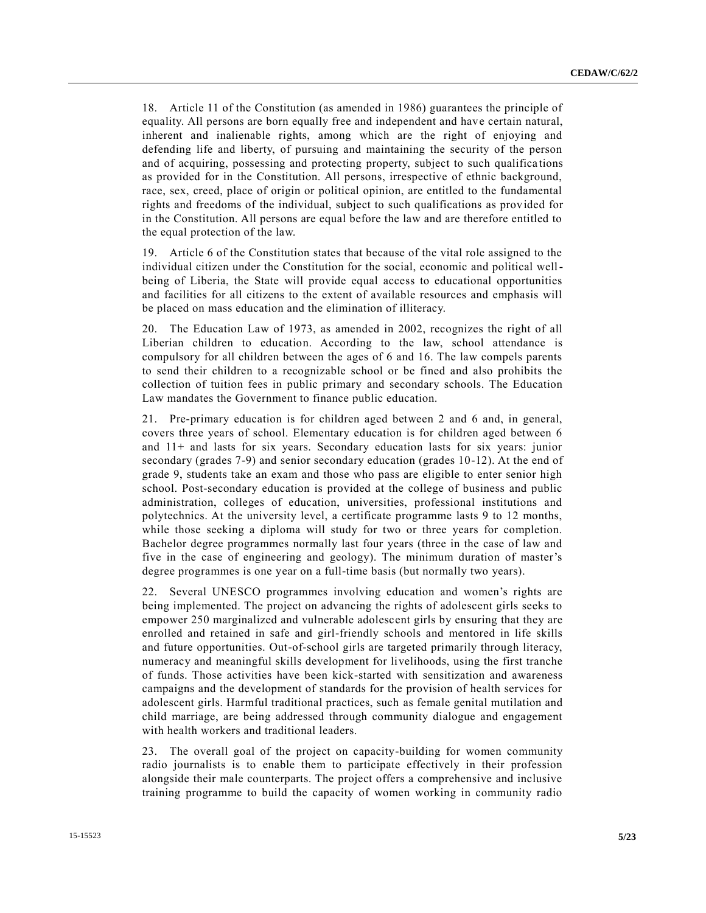18. Article 11 of the Constitution (as amended in 1986) guarantees the principle of equality. All persons are born equally free and independent and have certain natural, inherent and inalienable rights, among which are the right of enjoying and defending life and liberty, of pursuing and maintaining the security of the person and of acquiring, possessing and protecting property, subject to such qualifica tions as provided for in the Constitution. All persons, irrespective of ethnic background, race, sex, creed, place of origin or political opinion, are entitled to the fundamental rights and freedoms of the individual, subject to such qualifications as provided for in the Constitution. All persons are equal before the law and are therefore entitled to the equal protection of the law.

19. Article 6 of the Constitution states that because of the vital role assigned to the individual citizen under the Constitution for the social, economic and political wellbeing of Liberia, the State will provide equal access to educational opportunities and facilities for all citizens to the extent of available resources and emphasis will be placed on mass education and the elimination of illiteracy.

20. The Education Law of 1973, as amended in 2002, recognizes the right of all Liberian children to education. According to the law, school attendance is compulsory for all children between the ages of 6 and 16. The law compels parents to send their children to a recognizable school or be fined and also prohibits the collection of tuition fees in public primary and secondary schools. The Education Law mandates the Government to finance public education.

21. Pre-primary education is for children aged between 2 and 6 and, in general, covers three years of school. Elementary education is for children aged between 6 and 11+ and lasts for six years. Secondary education lasts for six years: junior secondary (grades 7-9) and senior secondary education (grades 10-12). At the end of grade 9, students take an exam and those who pass are eligible to enter senior high school. Post-secondary education is provided at the college of business and public administration, colleges of education, universities, professional institutions and polytechnics. At the university level, a certificate programme lasts 9 to 12 months, while those seeking a diploma will study for two or three years for completion. Bachelor degree programmes normally last four years (three in the case of law and five in the case of engineering and geology). The minimum duration of master's degree programmes is one year on a full-time basis (but normally two years).

22. Several UNESCO programmes involving education and women's rights are being implemented. The project on advancing the rights of adolescent girls seeks to empower 250 marginalized and vulnerable adolescent girls by ensuring that they are enrolled and retained in safe and girl-friendly schools and mentored in life skills and future opportunities. Out-of-school girls are targeted primarily through literacy, numeracy and meaningful skills development for livelihoods, using the first tranche of funds. Those activities have been kick-started with sensitization and awareness campaigns and the development of standards for the provision of health services for adolescent girls. Harmful traditional practices, such as female genital mutilation and child marriage, are being addressed through community dialogue and engagement with health workers and traditional leaders.

23. The overall goal of the project on capacity-building for women community radio journalists is to enable them to participate effectively in their profession alongside their male counterparts. The project offers a comprehensive and inclusive training programme to build the capacity of women working in community radio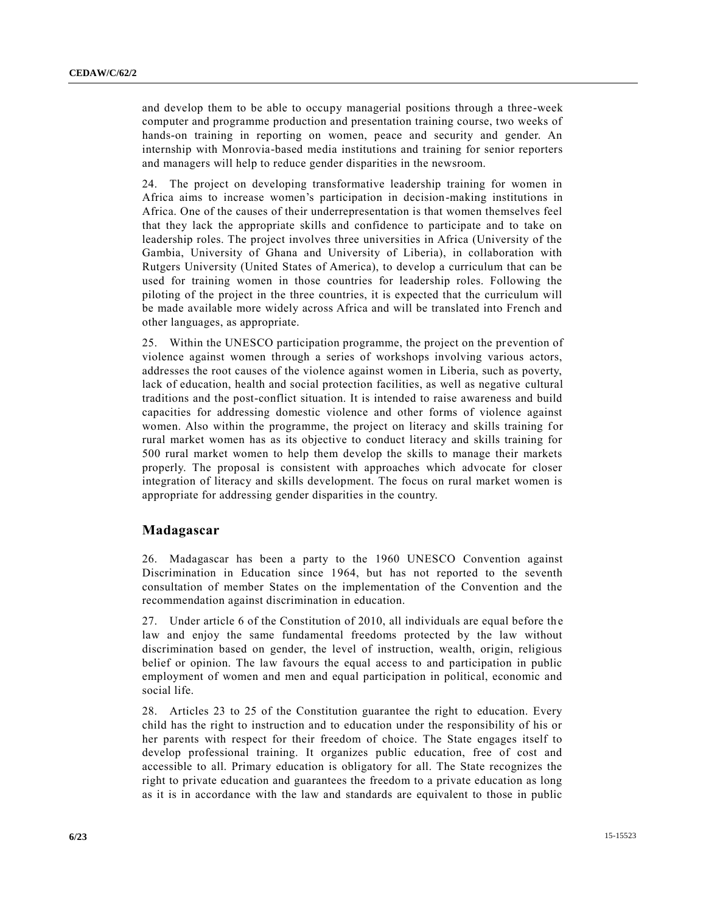and develop them to be able to occupy managerial positions through a three-week computer and programme production and presentation training course, two weeks of hands-on training in reporting on women, peace and security and gender. An internship with Monrovia-based media institutions and training for senior reporters and managers will help to reduce gender disparities in the newsroom.

24. The project on developing transformative leadership training for women in Africa aims to increase women's participation in decision-making institutions in Africa. One of the causes of their underrepresentation is that women themselves feel that they lack the appropriate skills and confidence to participate and to take on leadership roles. The project involves three universities in Africa (University of the Gambia, University of Ghana and University of Liberia), in collaboration with Rutgers University (United States of America), to develop a curriculum that can be used for training women in those countries for leadership roles. Following the piloting of the project in the three countries, it is expected that the curriculum will be made available more widely across Africa and will be translated into French and other languages, as appropriate.

25. Within the UNESCO participation programme, the project on the prevention of violence against women through a series of workshops involving various actors, addresses the root causes of the violence against women in Liberia, such as poverty, lack of education, health and social protection facilities, as well as negative cultural traditions and the post-conflict situation. It is intended to raise awareness and build capacities for addressing domestic violence and other forms of violence against women. Also within the programme, the project on literacy and skills training for rural market women has as its objective to conduct literacy and skills training for 500 rural market women to help them develop the skills to manage their markets properly. The proposal is consistent with approaches which advocate for closer integration of literacy and skills development. The focus on rural market women is appropriate for addressing gender disparities in the country.

#### **Madagascar**

26. Madagascar has been a party to the 1960 UNESCO Convention against Discrimination in Education since 1964, but has not reported to the seventh consultation of member States on the implementation of the Convention and the recommendation against discrimination in education.

27. Under article 6 of the Constitution of 2010, all individuals are equal before the law and enjoy the same fundamental freedoms protected by the law without discrimination based on gender, the level of instruction, wealth, origin, religious belief or opinion. The law favours the equal access to and participation in public employment of women and men and equal participation in political, economic and social life.

28. Articles 23 to 25 of the Constitution guarantee the right to education. Every child has the right to instruction and to education under the responsibility of his or her parents with respect for their freedom of choice. The State engages itself to develop professional training. It organizes public education, free of cost and accessible to all. Primary education is obligatory for all. The State recognizes the right to private education and guarantees the freedom to a private education as long as it is in accordance with the law and standards are equivalent to those in public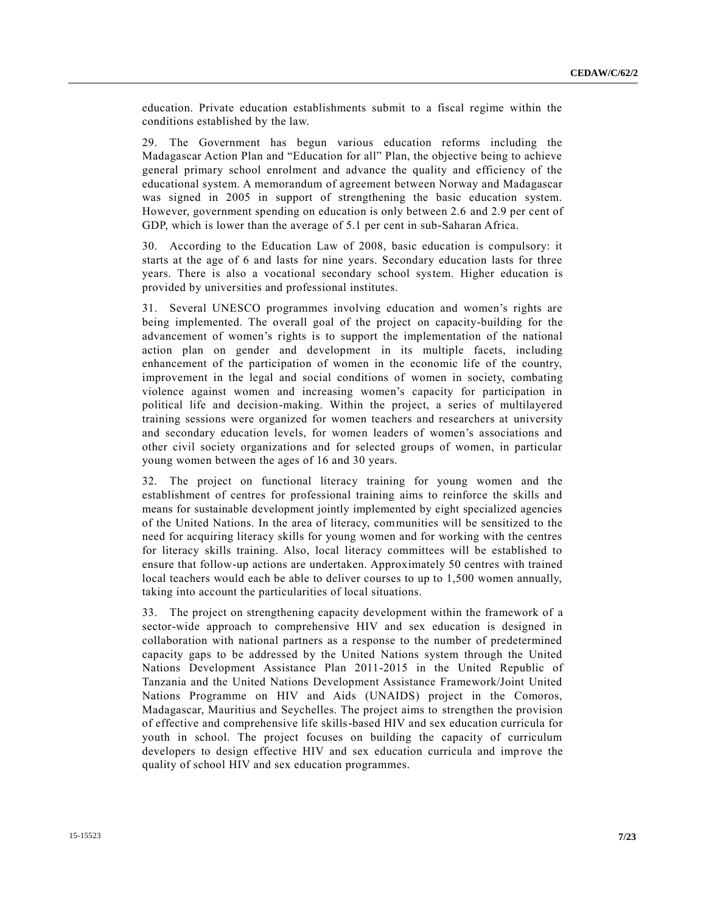education. Private education establishments submit to a fiscal regime within the conditions established by the law.

29. The Government has begun various education reforms including the Madagascar Action Plan and "Education for all" Plan, the objective being to achieve general primary school enrolment and advance the quality and efficiency of the educational system. A memorandum of agreement between Norway and Madagascar was signed in 2005 in support of strengthening the basic education system. However, government spending on education is only between 2.6 and 2.9 per cent of GDP, which is lower than the average of 5.1 per cent in sub-Saharan Africa.

30. According to the Education Law of 2008, basic education is compulsory: it starts at the age of 6 and lasts for nine years. Secondary education lasts for three years. There is also a vocational secondary school system. Higher education is provided by universities and professional institutes.

31. Several UNESCO programmes involving education and women's rights are being implemented. The overall goal of the project on capacity-building for the advancement of women's rights is to support the implementation of the national action plan on gender and development in its multiple facets, including enhancement of the participation of women in the economic life of the country, improvement in the legal and social conditions of women in society, combating violence against women and increasing women's capacity for participation in political life and decision-making. Within the project, a series of multilayered training sessions were organized for women teachers and researchers at university and secondary education levels, for women leaders of women's associations and other civil society organizations and for selected groups of women, in particular young women between the ages of 16 and 30 years.

32. The project on functional literacy training for young women and the establishment of centres for professional training aims to reinforce the skills and means for sustainable development jointly implemented by eight specialized agencies of the United Nations. In the area of literacy, communities will be sensitized to the need for acquiring literacy skills for young women and for working with the centres for literacy skills training. Also, local literacy committees will be established to ensure that follow-up actions are undertaken. Approximately 50 centres with trained local teachers would each be able to deliver courses to up to 1,500 women annually, taking into account the particularities of local situations.

33. The project on strengthening capacity development within the framework of a sector-wide approach to comprehensive HIV and sex education is designed in collaboration with national partners as a response to the number of predetermined capacity gaps to be addressed by the United Nations system through the United Nations Development Assistance Plan 2011-2015 in the United Republic of Tanzania and the United Nations Development Assistance Framework/Joint United Nations Programme on HIV and Aids (UNAIDS) project in the Comoros, Madagascar, Mauritius and Seychelles. The project aims to strengthen the provision of effective and comprehensive life skills-based HIV and sex education curricula for youth in school. The project focuses on building the capacity of curriculum developers to design effective HIV and sex education curricula and improve the quality of school HIV and sex education programmes.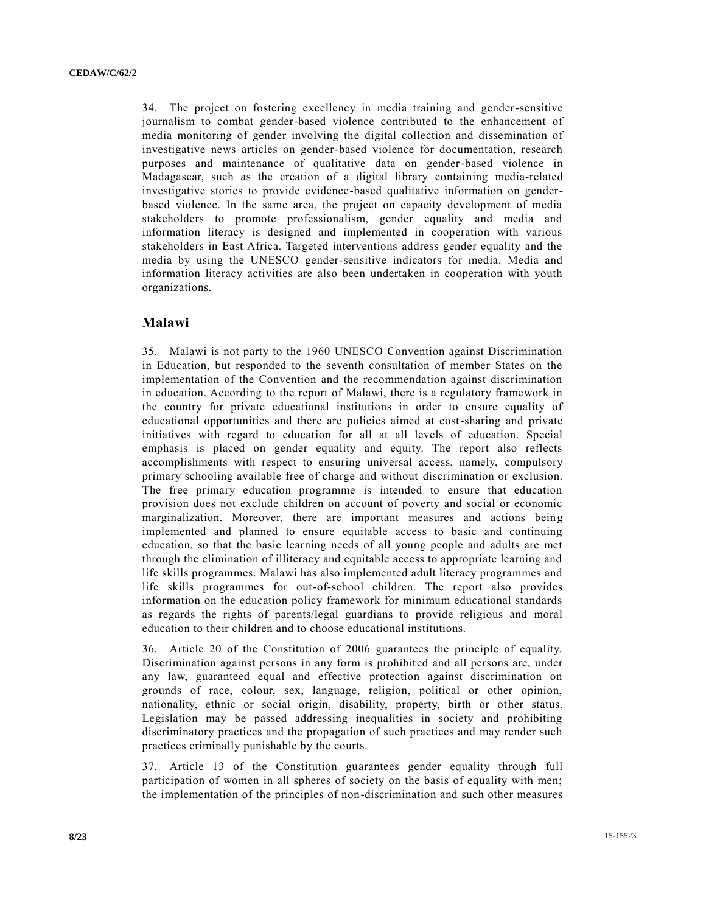34. The project on fostering excellency in media training and gender-sensitive journalism to combat gender-based violence contributed to the enhancement of media monitoring of gender involving the digital collection and dissemination of investigative news articles on gender-based violence for documentation, research purposes and maintenance of qualitative data on gender-based violence in Madagascar, such as the creation of a digital library containing media-related investigative stories to provide evidence-based qualitative information on genderbased violence. In the same area, the project on capacity development of media stakeholders to promote professionalism, gender equality and media and information literacy is designed and implemented in cooperation with various stakeholders in East Africa. Targeted interventions address gender equality and the media by using the UNESCO gender-sensitive indicators for media. Media and information literacy activities are also been undertaken in cooperation with youth organizations.

#### **Malawi**

35. Malawi is not party to the 1960 UNESCO Convention against Discrimination in Education, but responded to the seventh consultation of member States on the implementation of the Convention and the recommendation against discrimination in education. According to the report of Malawi, there is a regulatory framework in the country for private educational institutions in order to ensure equality of educational opportunities and there are policies aimed at cost-sharing and private initiatives with regard to education for all at all levels of education. Special emphasis is placed on gender equality and equity. The report also reflects accomplishments with respect to ensuring universal access, namely, compulsory primary schooling available free of charge and without discrimination or exclusion. The free primary education programme is intended to ensure that education provision does not exclude children on account of poverty and social or economic marginalization. Moreover, there are important measures and actions being implemented and planned to ensure equitable access to basic and continuing education, so that the basic learning needs of all young people and adults are met through the elimination of illiteracy and equitable access to appropriate learning and life skills programmes. Malawi has also implemented adult literacy programmes and life skills programmes for out-of-school children. The report also provides information on the education policy framework for minimum educational standards as regards the rights of parents/legal guardians to provide religious and moral education to their children and to choose educational institutions.

36. Article 20 of the Constitution of 2006 guarantees the principle of equality. Discrimination against persons in any form is prohibited and all persons are, under any law, guaranteed equal and effective protection against discrimination on grounds of race, colour, sex, language, religion, political or other opinion, nationality, ethnic or social origin, disability, property, birth or other status. Legislation may be passed addressing inequalities in society and prohibiting discriminatory practices and the propagation of such practices and may render such practices criminally punishable by the courts.

37. Article 13 of the Constitution guarantees gender equality through full participation of women in all spheres of society on the basis of equality with men; the implementation of the principles of non-discrimination and such other measures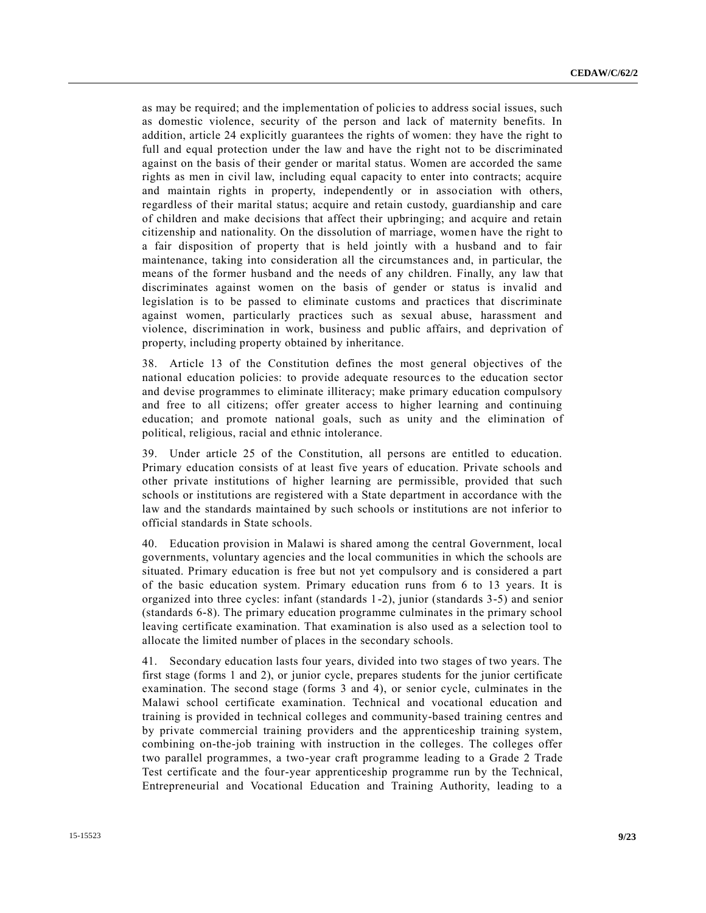as may be required; and the implementation of policies to address social issues, such as domestic violence, security of the person and lack of maternity benefits. In addition, article 24 explicitly guarantees the rights of women: they have the right to full and equal protection under the law and have the right not to be discriminated against on the basis of their gender or marital status. Women are accorded the same rights as men in civil law, including equal capacity to enter into contracts; acquire and maintain rights in property, independently or in association with others, regardless of their marital status; acquire and retain custody, guardianship and care of children and make decisions that affect their upbringing; and acquire and retain citizenship and nationality. On the dissolution of marriage, women have the right to a fair disposition of property that is held jointly with a husband and to fair maintenance, taking into consideration all the circumstances and, in particular, the means of the former husband and the needs of any children. Finally, any law that discriminates against women on the basis of gender or status is invalid and legislation is to be passed to eliminate customs and practices that discriminate against women, particularly practices such as sexual abuse, harassment and violence, discrimination in work, business and public affairs, and deprivation of property, including property obtained by inheritance.

38. Article 13 of the Constitution defines the most general objectives of the national education policies: to provide adequate resources to the education sector and devise programmes to eliminate illiteracy; make primary education compulsory and free to all citizens; offer greater access to higher learning and continuing education; and promote national goals, such as unity and the elimination of political, religious, racial and ethnic intolerance.

39. Under article 25 of the Constitution, all persons are entitled to education. Primary education consists of at least five years of education. Private schools and other private institutions of higher learning are permissible, provided that such schools or institutions are registered with a State department in accordance with the law and the standards maintained by such schools or institutions are not inferior to official standards in State schools.

40. Education provision in Malawi is shared among the central Government, local governments, voluntary agencies and the local communities in which the schools are situated. Primary education is free but not yet compulsory and is considered a part of the basic education system. Primary education runs from 6 to 13 years. It is organized into three cycles: infant (standards 1-2), junior (standards 3-5) and senior (standards 6-8). The primary education programme culminates in the primary school leaving certificate examination. That examination is also used as a selection tool to allocate the limited number of places in the secondary schools.

41. Secondary education lasts four years, divided into two stages of two years. The first stage (forms 1 and 2), or junior cycle, prepares students for the junior certificate examination. The second stage (forms 3 and 4), or senior cycle, culminates in the Malawi school certificate examination. Technical and vocational education and training is provided in technical colleges and community-based training centres and by private commercial training providers and the apprenticeship training system, combining on-the-job training with instruction in the colleges. The colleges offer two parallel programmes, a two-year craft programme leading to a Grade 2 Trade Test certificate and the four-year apprenticeship programme run by the Technical, Entrepreneurial and Vocational Education and Training Authority, leading to a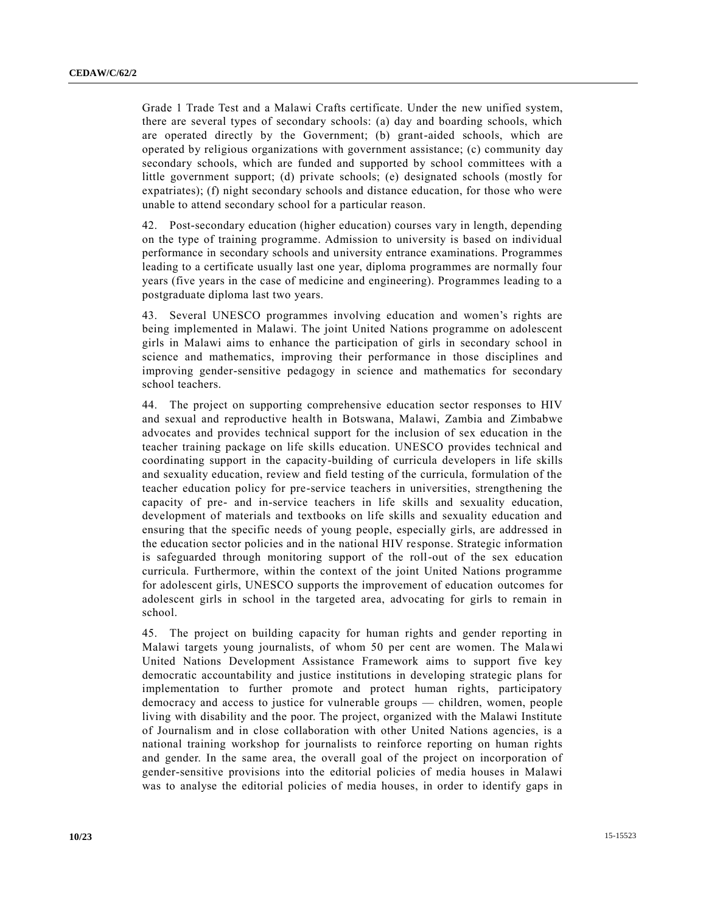Grade 1 Trade Test and a Malawi Crafts certificate. Under the new unified system, there are several types of secondary schools: (a) day and boarding schools, which are operated directly by the Government; (b) grant-aided schools, which are operated by religious organizations with government assistance; (c) community day secondary schools, which are funded and supported by school committees with a little government support; (d) private schools; (e) designated schools (mostly for expatriates); (f) night secondary schools and distance education, for those who were unable to attend secondary school for a particular reason.

42. Post-secondary education (higher education) courses vary in length, depending on the type of training programme. Admission to university is based on individual performance in secondary schools and university entrance examinations. Programmes leading to a certificate usually last one year, diploma programmes are normally four years (five years in the case of medicine and engineering). Programmes leading to a postgraduate diploma last two years.

43. Several UNESCO programmes involving education and women's rights are being implemented in Malawi. The joint United Nations programme on adolescent girls in Malawi aims to enhance the participation of girls in secondary school in science and mathematics, improving their performance in those disciplines and improving gender-sensitive pedagogy in science and mathematics for secondary school teachers.

44. The project on supporting comprehensive education sector responses to HIV and sexual and reproductive health in Botswana, Malawi, Zambia and Zimbabwe advocates and provides technical support for the inclusion of sex education in the teacher training package on life skills education. UNESCO provides technical and coordinating support in the capacity-building of curricula developers in life skills and sexuality education, review and field testing of the curricula, formulation of the teacher education policy for pre-service teachers in universities, strengthening the capacity of pre- and in-service teachers in life skills and sexuality education, development of materials and textbooks on life skills and sexuality education and ensuring that the specific needs of young people, especially girls, are addressed in the education sector policies and in the national HIV response. Strategic information is safeguarded through monitoring support of the roll-out of the sex education curricula. Furthermore, within the context of the joint United Nations programme for adolescent girls, UNESCO supports the improvement of education outcomes for adolescent girls in school in the targeted area, advocating for girls to remain in school.

45. The project on building capacity for human rights and gender reporting in Malawi targets young journalists, of whom 50 per cent are women. The Malawi United Nations Development Assistance Framework aims to support five key democratic accountability and justice institutions in developing strategic plans for implementation to further promote and protect human rights, participatory democracy and access to justice for vulnerable groups — children, women, people living with disability and the poor. The project, organized with the Malawi Institute of Journalism and in close collaboration with other United Nations agencies, is a national training workshop for journalists to reinforce reporting on human rights and gender. In the same area, the overall goal of the project on incorporation of gender-sensitive provisions into the editorial policies of media houses in Malawi was to analyse the editorial policies of media houses, in order to identify gaps in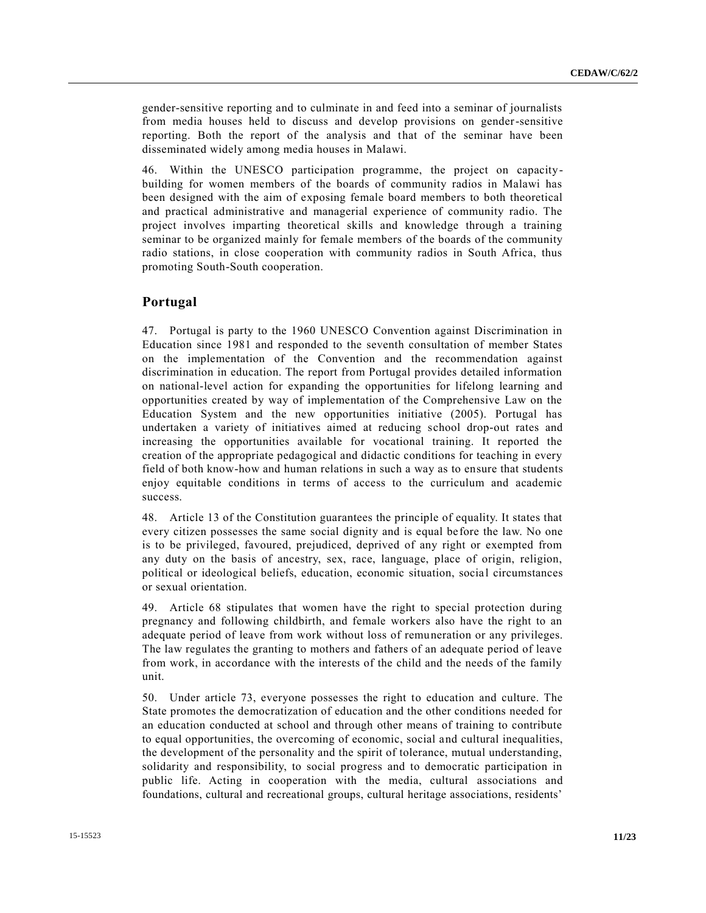gender-sensitive reporting and to culminate in and feed into a seminar of journalists from media houses held to discuss and develop provisions on gender-sensitive reporting. Both the report of the analysis and that of the seminar have been disseminated widely among media houses in Malawi.

46. Within the UNESCO participation programme, the project on capacitybuilding for women members of the boards of community radios in Malawi has been designed with the aim of exposing female board members to both theoretical and practical administrative and managerial experience of community radio. The project involves imparting theoretical skills and knowledge through a training seminar to be organized mainly for female members of the boards of the community radio stations, in close cooperation with community radios in South Africa, thus promoting South-South cooperation.

#### **Portugal**

47. Portugal is party to the 1960 UNESCO Convention against Discrimination in Education since 1981 and responded to the seventh consultation of member States on the implementation of the Convention and the recommendation against discrimination in education. The report from Portugal provides detailed information on national-level action for expanding the opportunities for lifelong learning and opportunities created by way of implementation of the Comprehensive Law on the Education System and the new opportunities initiative (2005). Portugal has undertaken a variety of initiatives aimed at reducing school drop-out rates and increasing the opportunities available for vocational training. It reported the creation of the appropriate pedagogical and didactic conditions for teaching in every field of both know-how and human relations in such a way as to ensure that students enjoy equitable conditions in terms of access to the curriculum and academic success.

48. Article 13 of the Constitution guarantees the principle of equality. It states that every citizen possesses the same social dignity and is equal before the law. No one is to be privileged, favoured, prejudiced, deprived of any right or exempted from any duty on the basis of ancestry, sex, race, language, place of origin, religion, political or ideological beliefs, education, economic situation, social circumstances or sexual orientation.

49. Article 68 stipulates that women have the right to special protection during pregnancy and following childbirth, and female workers also have the right to an adequate period of leave from work without loss of remuneration or any privileges. The law regulates the granting to mothers and fathers of an adequate period of leave from work, in accordance with the interests of the child and the needs of the family unit.

50. Under article 73, everyone possesses the right to education and culture. The State promotes the democratization of education and the other conditions needed for an education conducted at school and through other means of training to contribute to equal opportunities, the overcoming of economic, social and cultural inequalities, the development of the personality and the spirit of tolerance, mutual understanding, solidarity and responsibility, to social progress and to democratic participation in public life. Acting in cooperation with the media, cultural associations and foundations, cultural and recreational groups, cultural heritage associations, residents'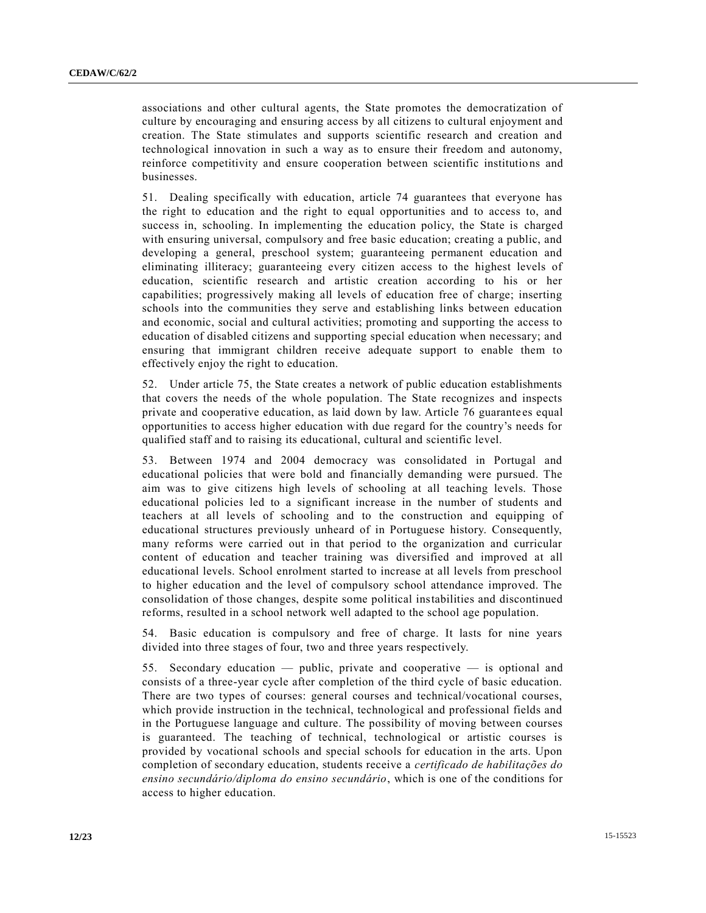associations and other cultural agents, the State promotes the democratization of culture by encouraging and ensuring access by all citizens to cultural enjoyment and creation. The State stimulates and supports scientific research and creation and technological innovation in such a way as to ensure their freedom and autonomy, reinforce competitivity and ensure cooperation between scientific institutio ns and businesses.

51. Dealing specifically with education, article 74 guarantees that everyone has the right to education and the right to equal opportunities and to access to, and success in, schooling. In implementing the education policy, the State is charged with ensuring universal, compulsory and free basic education; creating a public, and developing a general, preschool system; guaranteeing permanent education and eliminating illiteracy; guaranteeing every citizen access to the highest levels of education, scientific research and artistic creation according to his or her capabilities; progressively making all levels of education free of charge; inserting schools into the communities they serve and establishing links between education and economic, social and cultural activities; promoting and supporting the access to education of disabled citizens and supporting special education when necessary; and ensuring that immigrant children receive adequate support to enable them to effectively enjoy the right to education.

52. Under article 75, the State creates a network of public education establishments that covers the needs of the whole population. The State recognizes and inspects private and cooperative education, as laid down by law. Article 76 guarantees equal opportunities to access higher education with due regard for the country's needs for qualified staff and to raising its educational, cultural and scientific level.

53. Between 1974 and 2004 democracy was consolidated in Portugal and educational policies that were bold and financially demanding were pursued. The aim was to give citizens high levels of schooling at all teaching levels. Those educational policies led to a significant increase in the number of students and teachers at all levels of schooling and to the construction and equipping of educational structures previously unheard of in Portuguese history. Consequently, many reforms were carried out in that period to the organization and curricular content of education and teacher training was diversified and improved at all educational levels. School enrolment started to increase at all levels from preschool to higher education and the level of compulsory school attendance improved. The consolidation of those changes, despite some political instabilities and discontinued reforms, resulted in a school network well adapted to the school age population.

54. Basic education is compulsory and free of charge. It lasts for nine years divided into three stages of four, two and three years respectively.

55. Secondary education — public, private and cooperative — is optional and consists of a three-year cycle after completion of the third cycle of basic education. There are two types of courses: general courses and technical/vocational courses, which provide instruction in the technical, technological and professional fields and in the Portuguese language and culture. The possibility of moving between courses is guaranteed. The teaching of technical, technological or artistic courses is provided by vocational schools and special schools for education in the arts. Upon completion of secondary education, students receive a *certificado de habilitações do ensino secundário/diploma do ensino secundário*, which is one of the conditions for access to higher education.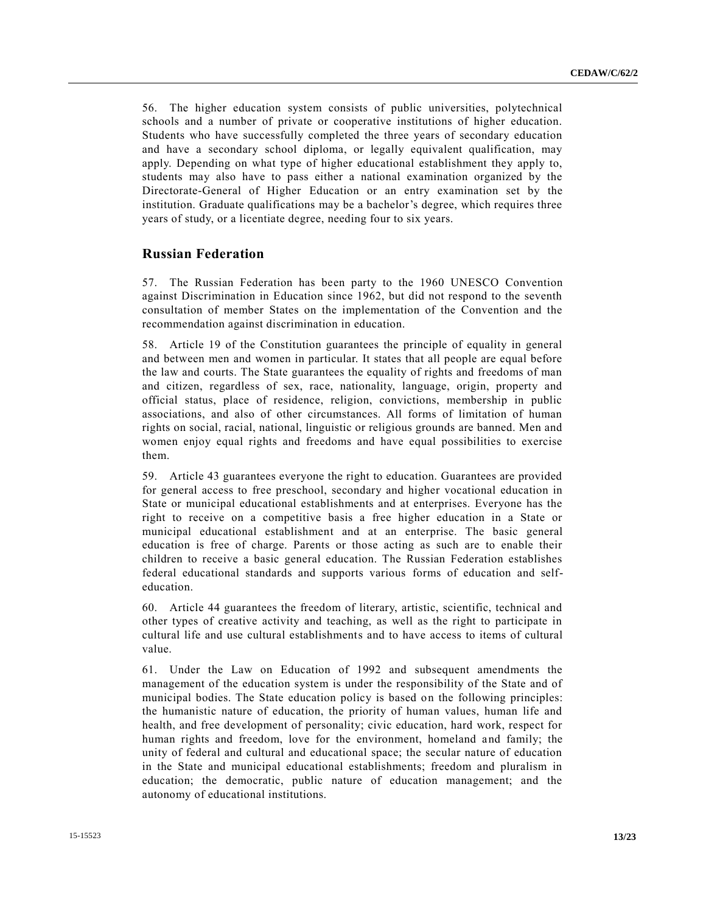56. The higher education system consists of public universities, polytechnical schools and a number of private or cooperative institutions of higher education. Students who have successfully completed the three years of secondary education and have a secondary school diploma, or legally equivalent qualification, may apply. Depending on what type of higher educational establishment they apply to, students may also have to pass either a national examination organized by the Directorate-General of Higher Education or an entry examination set by the institution. Graduate qualifications may be a bachelor's degree, which requires three years of study, or a licentiate degree, needing four to six years.

#### **Russian Federation**

57. The Russian Federation has been party to the 1960 UNESCO Convention against Discrimination in Education since 1962, but did not respond to the seventh consultation of member States on the implementation of the Convention and the recommendation against discrimination in education.

58. Article 19 of the Constitution guarantees the principle of equality in general and between men and women in particular. It states that all people are equal before the law and courts. The State guarantees the equality of rights and freedoms of man and citizen, regardless of sex, race, nationality, language, origin, property and official status, place of residence, religion, convictions, membership in public associations, and also of other circumstances. All forms of limitation of human rights on social, racial, national, linguistic or religious grounds are banned. Men and women enjoy equal rights and freedoms and have equal possibilities to exercise them.

59. Article 43 guarantees everyone the right to education. Guarantees are provided for general access to free preschool, secondary and higher vocational education in State or municipal educational establishments and at enterprises. Everyone has the right to receive on a competitive basis a free higher education in a State or municipal educational establishment and at an enterprise. The basic general education is free of charge. Parents or those acting as such are to enable their children to receive a basic general education. The Russian Federation establishes federal educational standards and supports various forms of education and selfeducation.

60. Article 44 guarantees the freedom of literary, artistic, scientific, technical and other types of creative activity and teaching, as well as the right to participate in cultural life and use cultural establishments and to have access to items of cultural value.

61. Under the Law on Education of 1992 and subsequent amendments the management of the education system is under the responsibility of the State and of municipal bodies. The State education policy is based on the following principles: the humanistic nature of education, the priority of human values, human life and health, and free development of personality; civic education, hard work, respect for human rights and freedom, love for the environment, homeland and family; the unity of federal and cultural and educational space; the secular nature of education in the State and municipal educational establishments; freedom and pluralism in education; the democratic, public nature of education management; and the autonomy of educational institutions.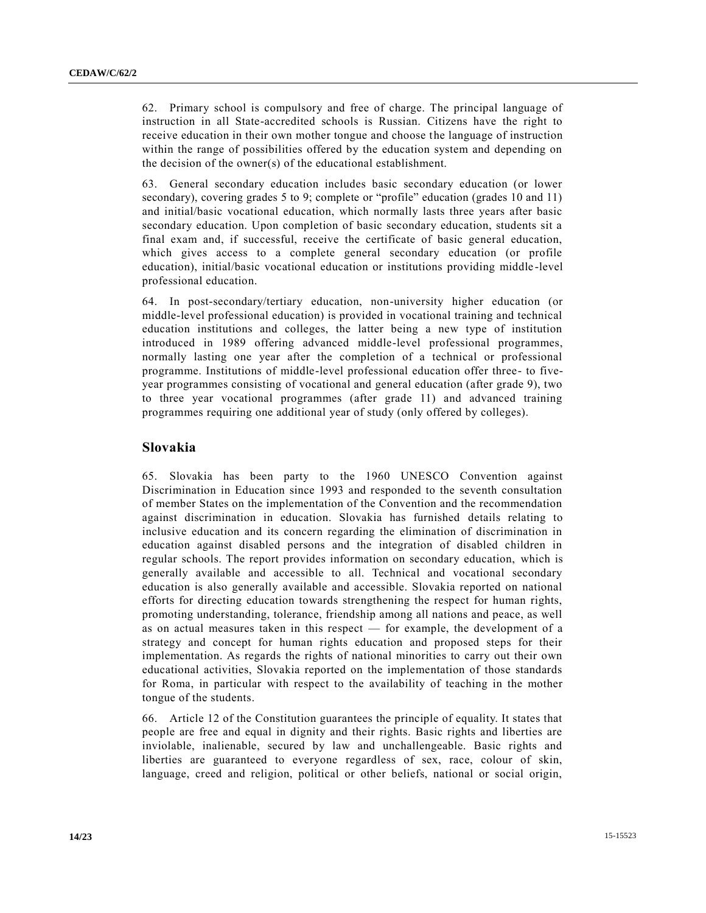62. Primary school is compulsory and free of charge. The principal language of instruction in all State-accredited schools is Russian. Citizens have the right to receive education in their own mother tongue and choose the language of instruction within the range of possibilities offered by the education system and depending on the decision of the owner(s) of the educational establishment.

63. General secondary education includes basic secondary education (or lower secondary), covering grades 5 to 9; complete or "profile" education (grades 10 and 11) and initial/basic vocational education, which normally lasts three years after basic secondary education. Upon completion of basic secondary education, students sit a final exam and, if successful, receive the certificate of basic general education, which gives access to a complete general secondary education (or profile education), initial/basic vocational education or institutions providing middle -level professional education.

64. In post-secondary/tertiary education, non-university higher education (or middle-level professional education) is provided in vocational training and technical education institutions and colleges, the latter being a new type of institution introduced in 1989 offering advanced middle-level professional programmes, normally lasting one year after the completion of a technical or professional programme. Institutions of middle-level professional education offer three- to fiveyear programmes consisting of vocational and general education (after grade 9), two to three year vocational programmes (after grade 11) and advanced training programmes requiring one additional year of study (only offered by colleges).

#### **Slovakia**

65. Slovakia has been party to the 1960 UNESCO Convention against Discrimination in Education since 1993 and responded to the seventh consultation of member States on the implementation of the Convention and the recommendation against discrimination in education. Slovakia has furnished details relating to inclusive education and its concern regarding the elimination of discrimination in education against disabled persons and the integration of disabled children in regular schools. The report provides information on secondary education, which is generally available and accessible to all. Technical and vocational secondary education is also generally available and accessible. Slovakia reported on national efforts for directing education towards strengthening the respect for human rights, promoting understanding, tolerance, friendship among all nations and peace, as well as on actual measures taken in this respect — for example, the development of a strategy and concept for human rights education and proposed steps for their implementation. As regards the rights of national minorities to carry out their own educational activities, Slovakia reported on the implementation of those standards for Roma, in particular with respect to the availability of teaching in the mother tongue of the students.

66. Article 12 of the Constitution guarantees the principle of equality. It states that people are free and equal in dignity and their rights. Basic rights and liberties are inviolable, inalienable, secured by law and unchallengeable. Basic rights and liberties are guaranteed to everyone regardless of sex, race, colour of skin, language, creed and religion, political or other beliefs, national or social origin,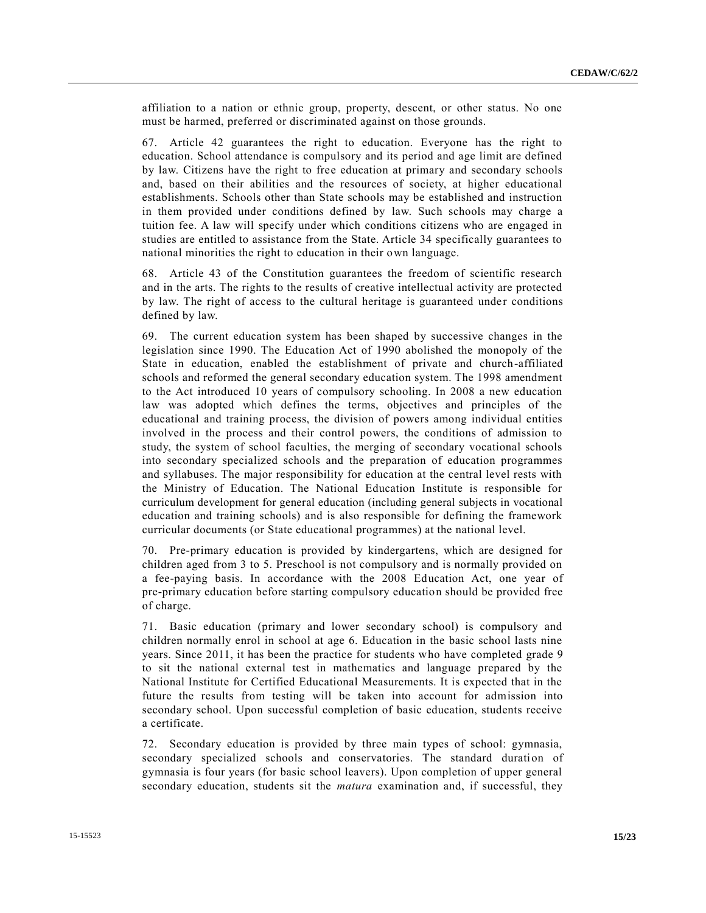affiliation to a nation or ethnic group, property, descent, or other status. No one must be harmed, preferred or discriminated against on those grounds.

67. Article 42 guarantees the right to education. Everyone has the right to education. School attendance is compulsory and its period and age limit are defined by law. Citizens have the right to free education at primary and secondary schools and, based on their abilities and the resources of society, at higher educational establishments. Schools other than State schools may be established and instruction in them provided under conditions defined by law. Such schools may charge a tuition fee. A law will specify under which conditions citizens who are engaged in studies are entitled to assistance from the State. Article 34 specifically guarantees to national minorities the right to education in their own language.

68. Article 43 of the Constitution guarantees the freedom of scientific research and in the arts. The rights to the results of creative intellectual activity are protected by law. The right of access to the cultural heritage is guaranteed under conditions defined by law.

69. The current education system has been shaped by successive changes in the legislation since 1990. The Education Act of 1990 abolished the monopoly of the State in education, enabled the establishment of private and church-affiliated schools and reformed the general secondary education system. The 1998 amendment to the Act introduced 10 years of compulsory schooling. In 2008 a new education law was adopted which defines the terms, objectives and principles of the educational and training process, the division of powers among individual entities involved in the process and their control powers, the conditions of admission to study, the system of school faculties, the merging of secondary vocational schools into secondary specialized schools and the preparation of education programmes and syllabuses. The major responsibility for education at the central level rests with the Ministry of Education. The National Education Institute is responsible for curriculum development for general education (including general subjects in vocational education and training schools) and is also responsible for defining the framework curricular documents (or State educational programmes) at the national level.

70. Pre-primary education is provided by kindergartens, which are designed for children aged from 3 to 5. Preschool is not compulsory and is normally provided on a fee-paying basis. In accordance with the 2008 Education Act, one year of pre-primary education before starting compulsory education should be provided free of charge.

71. Basic education (primary and lower secondary school) is compulsory and children normally enrol in school at age 6. Education in the basic school lasts nine years. Since 2011, it has been the practice for students who have completed grade 9 to sit the national external test in mathematics and language prepared by the National Institute for Certified Educational Measurements. It is expected that in the future the results from testing will be taken into account for admission into secondary school. Upon successful completion of basic education, students receive a certificate.

72. Secondary education is provided by three main types of school: gymnasia, secondary specialized schools and conservatories. The standard duration of gymnasia is four years (for basic school leavers). Upon completion of upper general secondary education, students sit the *matura* examination and, if successful, they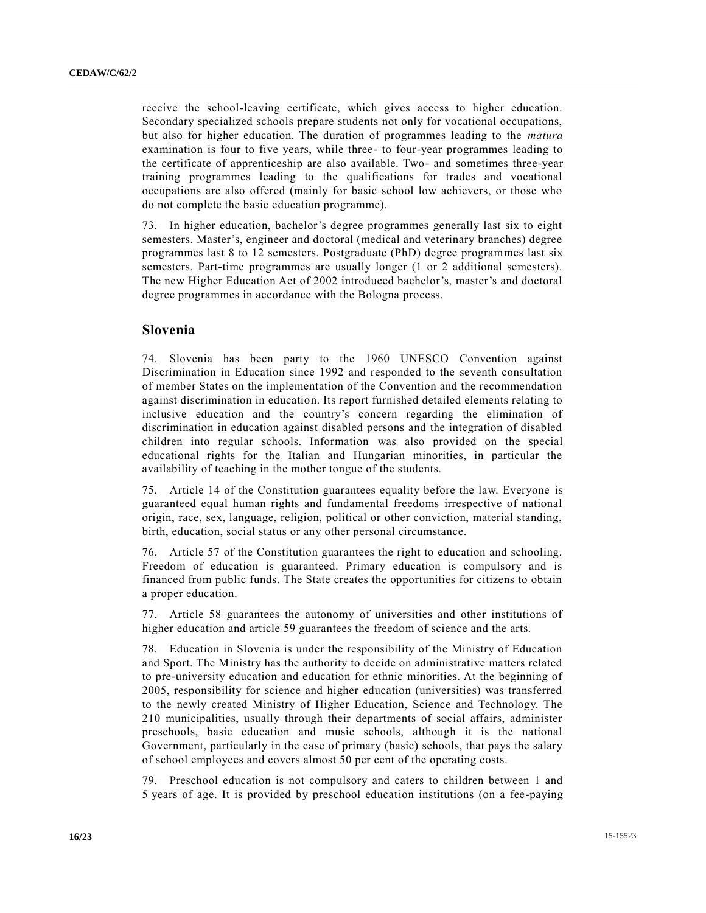receive the school-leaving certificate, which gives access to higher education. Secondary specialized schools prepare students not only for vocational occupations, but also for higher education. The duration of programmes leading to the *matura* examination is four to five years, while three- to four-year programmes leading to the certificate of apprenticeship are also available. Two- and sometimes three-year training programmes leading to the qualifications for trades and vocational occupations are also offered (mainly for basic school low achievers, or those who do not complete the basic education programme).

73. In higher education, bachelor's degree programmes generally last six to eight semesters. Master's, engineer and doctoral (medical and veterinary branches) degree programmes last 8 to 12 semesters. Postgraduate (PhD) degree programmes last six semesters. Part-time programmes are usually longer (1 or 2 additional semesters). The new Higher Education Act of 2002 introduced bachelor's, master's and doctoral degree programmes in accordance with the Bologna process.

#### **Slovenia**

74. Slovenia has been party to the 1960 UNESCO Convention against Discrimination in Education since 1992 and responded to the seventh consultation of member States on the implementation of the Convention and the recommendation against discrimination in education. Its report furnished detailed elements relating to inclusive education and the country's concern regarding the elimination of discrimination in education against disabled persons and the integration of disabled children into regular schools. Information was also provided on the special educational rights for the Italian and Hungarian minorities, in particular the availability of teaching in the mother tongue of the students.

75. Article 14 of the Constitution guarantees equality before the law. Everyone is guaranteed equal human rights and fundamental freedoms irrespective of national origin, race, sex, language, religion, political or other conviction, material standing, birth, education, social status or any other personal circumstance.

76. Article 57 of the Constitution guarantees the right to education and schooling. Freedom of education is guaranteed. Primary education is compulsory and is financed from public funds. The State creates the opportunities for citizens to obtain a proper education.

77. Article 58 guarantees the autonomy of universities and other institutions of higher education and article 59 guarantees the freedom of science and the arts.

78. Education in Slovenia is under the responsibility of the Ministry of Education and Sport. The Ministry has the authority to decide on administrative matters related to pre-university education and education for ethnic minorities. At the beginning of 2005, responsibility for science and higher education (universities) was transferred to the newly created Ministry of Higher Education, Science and Technology. The 210 municipalities, usually through their departments of social affairs, administer preschools, basic education and music schools, although it is the national Government, particularly in the case of primary (basic) schools, that pays the salary of school employees and covers almost 50 per cent of the operating costs.

79. Preschool education is not compulsory and caters to children between 1 and 5 years of age. It is provided by preschool education institutions (on a fee-paying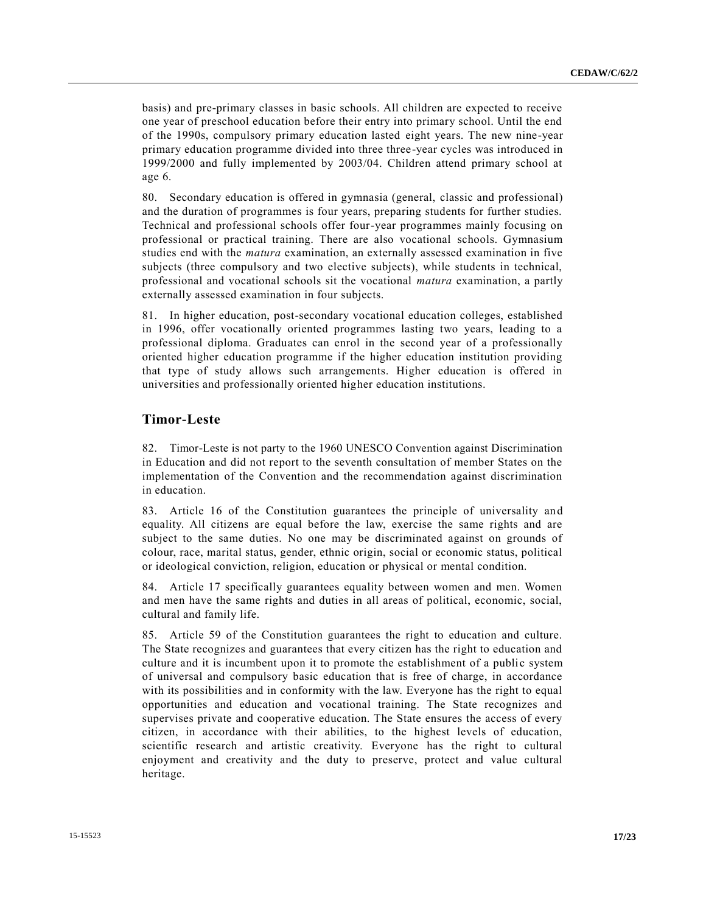basis) and pre-primary classes in basic schools. All children are expected to receive one year of preschool education before their entry into primary school. Until the end of the 1990s, compulsory primary education lasted eight years. The new nine-year primary education programme divided into three three-year cycles was introduced in 1999/2000 and fully implemented by 2003/04. Children attend primary school at age 6.

80. Secondary education is offered in gymnasia (general, classic and professional) and the duration of programmes is four years, preparing students for further studies. Technical and professional schools offer four-year programmes mainly focusing on professional or practical training. There are also vocational schools. Gymnasium studies end with the *matura* examination, an externally assessed examination in five subjects (three compulsory and two elective subjects), while students in technical, professional and vocational schools sit the vocational *matura* examination, a partly externally assessed examination in four subjects.

81. In higher education, post-secondary vocational education colleges, established in 1996, offer vocationally oriented programmes lasting two years, leading to a professional diploma. Graduates can enrol in the second year of a professionally oriented higher education programme if the higher education institution providing that type of study allows such arrangements. Higher education is offered in universities and professionally oriented higher education institutions.

#### **Timor-Leste**

82. Timor-Leste is not party to the 1960 UNESCO Convention against Discrimination in Education and did not report to the seventh consultation of member States on the implementation of the Convention and the recommendation against discrimination in education.

83. Article 16 of the Constitution guarantees the principle of universality and equality. All citizens are equal before the law, exercise the same rights and are subject to the same duties. No one may be discriminated against on grounds of colour, race, marital status, gender, ethnic origin, social or economic status, political or ideological conviction, religion, education or physical or mental condition.

84. Article 17 specifically guarantees equality between women and men. Women and men have the same rights and duties in all areas of political, economic, social, cultural and family life.

85. Article 59 of the Constitution guarantees the right to education and culture. The State recognizes and guarantees that every citizen has the right to education and culture and it is incumbent upon it to promote the establishment of a public system of universal and compulsory basic education that is free of charge, in accordance with its possibilities and in conformity with the law. Everyone has the right to equal opportunities and education and vocational training. The State recognizes and supervises private and cooperative education. The State ensures the access of every citizen, in accordance with their abilities, to the highest levels of education, scientific research and artistic creativity. Everyone has the right to cultural enjoyment and creativity and the duty to preserve, protect and value cultural heritage.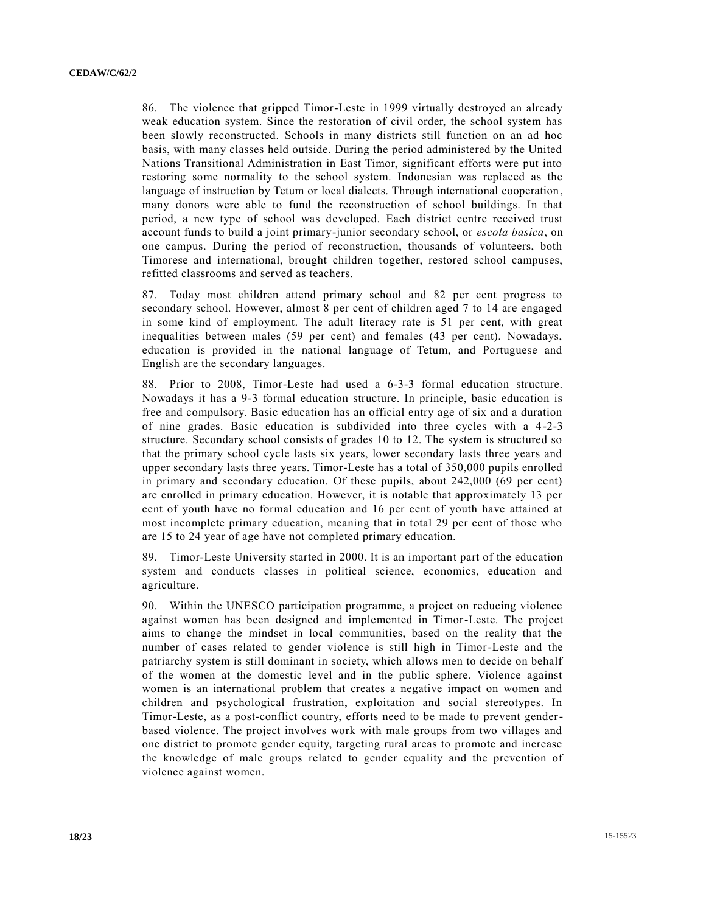86. The violence that gripped Timor-Leste in 1999 virtually destroyed an already weak education system. Since the restoration of civil order, the school system has been slowly reconstructed. Schools in many districts still function on an ad hoc basis, with many classes held outside. During the period administered by the United Nations Transitional Administration in East Timor, significant efforts were put into restoring some normality to the school system. Indonesian was replaced as the language of instruction by Tetum or local dialects. Through international cooperation, many donors were able to fund the reconstruction of school buildings. In that period, a new type of school was developed. Each district centre received trust account funds to build a joint primary-junior secondary school, or *escola basica*, on one campus. During the period of reconstruction, thousands of volunteers, both Timorese and international, brought children together, restored school campuses, refitted classrooms and served as teachers.

87. Today most children attend primary school and 82 per cent progress to secondary school. However, almost 8 per cent of children aged 7 to 14 are engaged in some kind of employment. The adult literacy rate is 51 per cent, with great inequalities between males (59 per cent) and females (43 per cent). Nowadays, education is provided in the national language of Tetum, and Portuguese and English are the secondary languages.

88. Prior to 2008, Timor-Leste had used a 6-3-3 formal education structure. Nowadays it has a 9-3 formal education structure. In principle, basic education is free and compulsory. Basic education has an official entry age of six and a duration of nine grades. Basic education is subdivided into three cycles with a 4-2-3 structure. Secondary school consists of grades 10 to 12. The system is structured so that the primary school cycle lasts six years, lower secondary lasts three years and upper secondary lasts three years. Timor-Leste has a total of 350,000 pupils enrolled in primary and secondary education. Of these pupils, about 242,000 (69 per cent) are enrolled in primary education. However, it is notable that approximately 13 per cent of youth have no formal education and 16 per cent of youth have attained at most incomplete primary education, meaning that in total 29 per cent of those who are 15 to 24 year of age have not completed primary education.

89. Timor-Leste University started in 2000. It is an important part of the education system and conducts classes in political science, economics, education and agriculture.

90. Within the UNESCO participation programme, a project on reducing violence against women has been designed and implemented in Timor-Leste. The project aims to change the mindset in local communities, based on the reality that the number of cases related to gender violence is still high in Timor-Leste and the patriarchy system is still dominant in society, which allows men to decide on behalf of the women at the domestic level and in the public sphere. Violence against women is an international problem that creates a negative impact on women and children and psychological frustration, exploitation and social stereotypes. In Timor-Leste, as a post-conflict country, efforts need to be made to prevent genderbased violence. The project involves work with male groups from two villages and one district to promote gender equity, targeting rural areas to promote and increase the knowledge of male groups related to gender equality and the prevention of violence against women.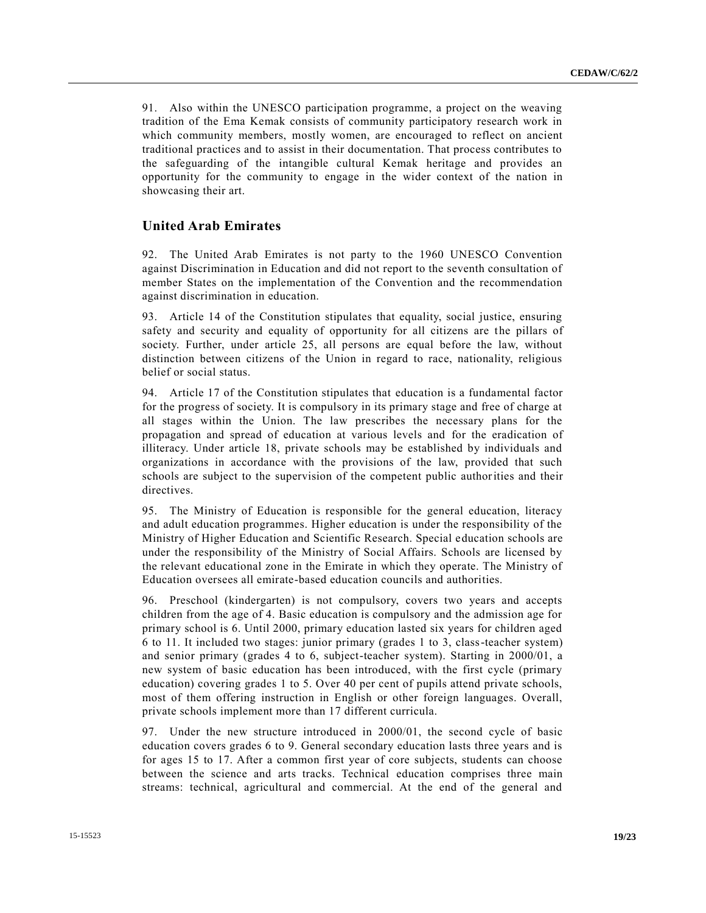91. Also within the UNESCO participation programme, a project on the weaving tradition of the Ema Kemak consists of community participatory research work in which community members, mostly women, are encouraged to reflect on ancient traditional practices and to assist in their documentation. That process contributes to the safeguarding of the intangible cultural Kemak heritage and provides an opportunity for the community to engage in the wider context of the nation in showcasing their art.

#### **United Arab Emirates**

92. The United Arab Emirates is not party to the 1960 UNESCO Convention against Discrimination in Education and did not report to the seventh consultation of member States on the implementation of the Convention and the recommendation against discrimination in education.

93. Article 14 of the Constitution stipulates that equality, social justice, ensuring safety and security and equality of opportunity for all citizens are the pillars of society. Further, under article 25, all persons are equal before the law, without distinction between citizens of the Union in regard to race, nationality, religious belief or social status.

94. Article 17 of the Constitution stipulates that education is a fundamental factor for the progress of society. It is compulsory in its primary stage and free of charge at all stages within the Union. The law prescribes the necessary plans for the propagation and spread of education at various levels and for the eradication of illiteracy. Under article 18, private schools may be established by individuals and organizations in accordance with the provisions of the law, provided that such schools are subject to the supervision of the competent public authorities and their directives.

95. The Ministry of Education is responsible for the general education, literacy and adult education programmes. Higher education is under the responsibility of the Ministry of Higher Education and Scientific Research. Special education schools are under the responsibility of the Ministry of Social Affairs. Schools are licensed by the relevant educational zone in the Emirate in which they operate. The Ministry of Education oversees all emirate-based education councils and authorities.

96. Preschool (kindergarten) is not compulsory, covers two years and accepts children from the age of 4. Basic education is compulsory and the admission age for primary school is 6. Until 2000, primary education lasted six years for children aged 6 to 11. It included two stages: junior primary (grades 1 to 3, class-teacher system) and senior primary (grades 4 to 6, subject-teacher system). Starting in 2000/01, a new system of basic education has been introduced, with the first cycle (primary education) covering grades 1 to 5. Over 40 per cent of pupils attend private schools, most of them offering instruction in English or other foreign languages. Overall, private schools implement more than 17 different curricula.

97. Under the new structure introduced in 2000/01, the second cycle of basic education covers grades 6 to 9. General secondary education lasts three years and is for ages 15 to 17. After a common first year of core subjects, students can choose between the science and arts tracks. Technical education comprises three main streams: technical, agricultural and commercial. At the end of the general and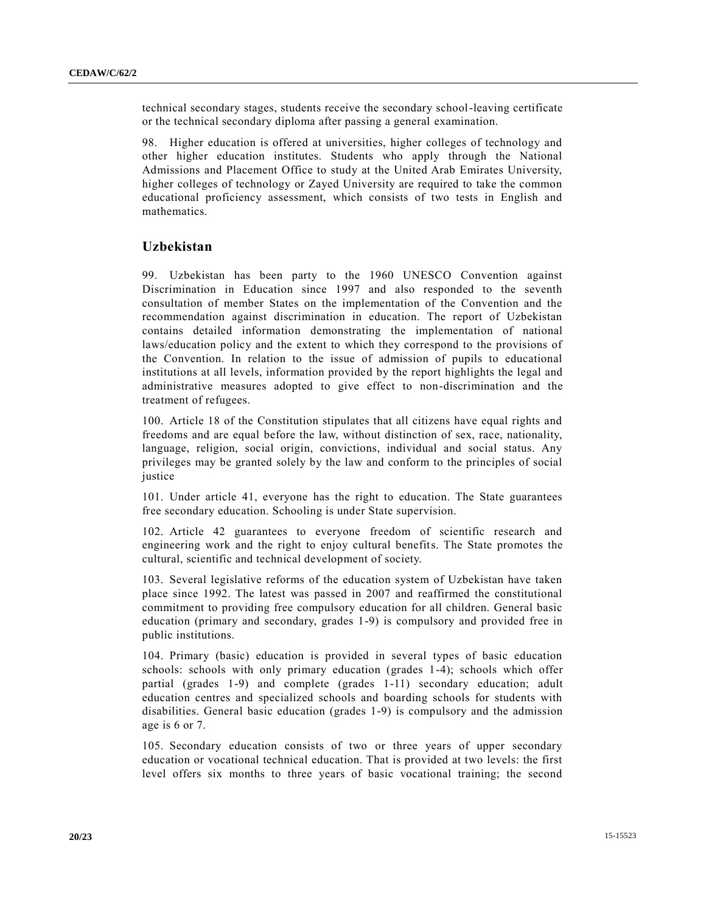technical secondary stages, students receive the secondary school-leaving certificate or the technical secondary diploma after passing a general examination.

98. Higher education is offered at universities, higher colleges of technology and other higher education institutes. Students who apply through the National Admissions and Placement Office to study at the United Arab Emirates University, higher colleges of technology or Zayed University are required to take the common educational proficiency assessment, which consists of two tests in English and mathematics.

#### **Uzbekistan**

99. Uzbekistan has been party to the 1960 UNESCO Convention against Discrimination in Education since 1997 and also responded to the seventh consultation of member States on the implementation of the Convention and the recommendation against discrimination in education. The report of Uzbekistan contains detailed information demonstrating the implementation of national laws/education policy and the extent to which they correspond to the provisions of the Convention. In relation to the issue of admission of pupils to educational institutions at all levels, information provided by the report highlights the legal and administrative measures adopted to give effect to non-discrimination and the treatment of refugees.

100. Article 18 of the Constitution stipulates that all citizens have equal rights and freedoms and are equal before the law, without distinction of sex, race, nationality, language, religion, social origin, convictions, individual and social status. Any privileges may be granted solely by the law and conform to the principles of social justice

101. Under article 41, everyone has the right to education. The State guarantees free secondary education. Schooling is under State supervision.

102. Article 42 guarantees to everyone freedom of scientific research and engineering work and the right to enjoy cultural benefits. The State promotes the cultural, scientific and technical development of society.

103. Several legislative reforms of the education system of Uzbekistan have taken place since 1992. The latest was passed in 2007 and reaffirmed the constitutional commitment to providing free compulsory education for all children. General basic education (primary and secondary, grades 1-9) is compulsory and provided free in public institutions.

104. Primary (basic) education is provided in several types of basic education schools: schools with only primary education (grades 1-4); schools which offer partial (grades 1-9) and complete (grades 1-11) secondary education; adult education centres and specialized schools and boarding schools for students with disabilities. General basic education (grades 1-9) is compulsory and the admission age is 6 or 7.

105. Secondary education consists of two or three years of upper secondary education or vocational technical education. That is provided at two levels: the first level offers six months to three years of basic vocational training; the second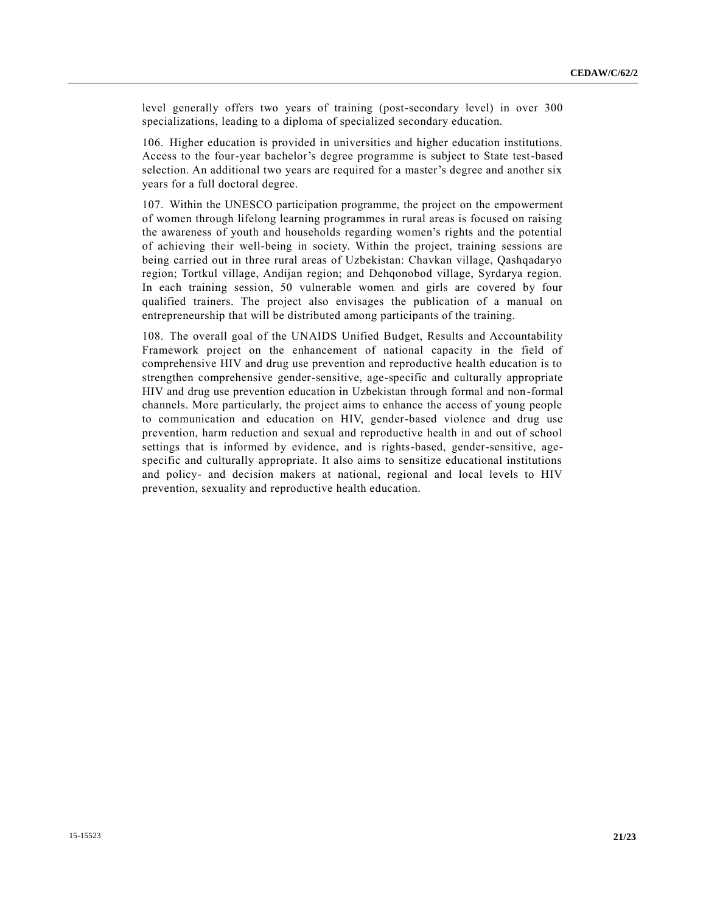level generally offers two years of training (post-secondary level) in over 300 specializations, leading to a diploma of specialized secondary education.

106. Higher education is provided in universities and higher education institutions. Access to the four-year bachelor's degree programme is subject to State test-based selection. An additional two years are required for a master's degree and another six years for a full doctoral degree.

107. Within the UNESCO participation programme, the project on the empowerment of women through lifelong learning programmes in rural areas is focused on raising the awareness of youth and households regarding women's rights and the potential of achieving their well-being in society. Within the project, training sessions are being carried out in three rural areas of Uzbekistan: Chavkan village, Qashqadaryo region; Tortkul village, Andijan region; and Dehqonobod village, Syrdarya region. In each training session, 50 vulnerable women and girls are covered by four qualified trainers. The project also envisages the publication of a manual on entrepreneurship that will be distributed among participants of the training.

108. The overall goal of the UNAIDS Unified Budget, Results and Accountability Framework project on the enhancement of national capacity in the field of comprehensive HIV and drug use prevention and reproductive health education is to strengthen comprehensive gender-sensitive, age-specific and culturally appropriate HIV and drug use prevention education in Uzbekistan through formal and non-formal channels. More particularly, the project aims to enhance the access of young people to communication and education on HIV, gender-based violence and drug use prevention, harm reduction and sexual and reproductive health in and out of school settings that is informed by evidence, and is rights-based, gender-sensitive, agespecific and culturally appropriate. It also aims to sensitize educational institutions and policy- and decision makers at national, regional and local levels to HIV prevention, sexuality and reproductive health education.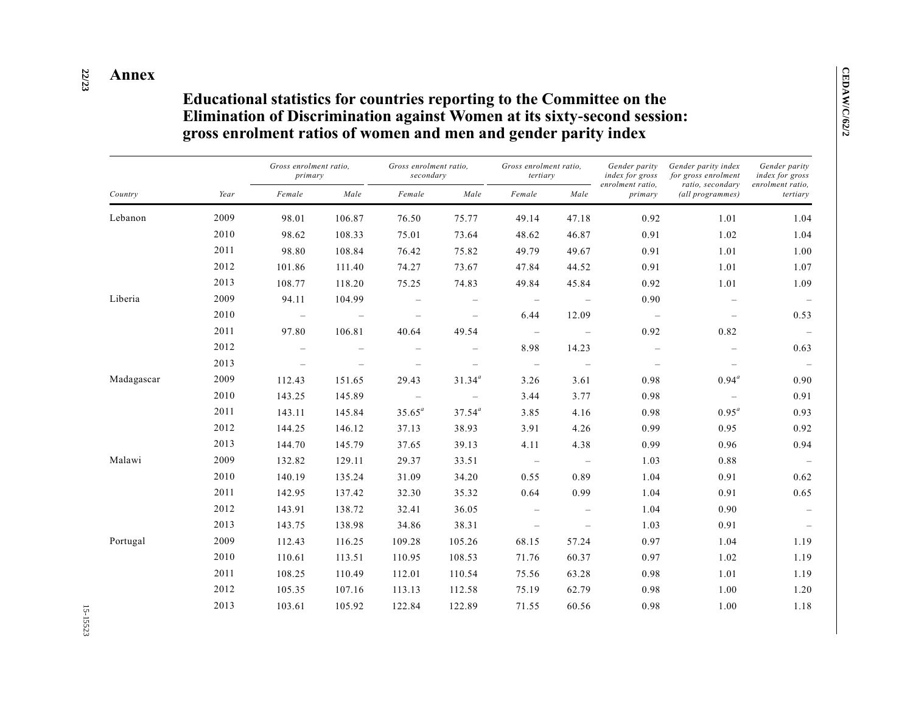#### **22 /23 Annex**

## **Educational statistics for countries reporting to the Committee on the Elimination of Discrimination against Women at its sixty-second session: gross enrolment ratios of women and men and gender parity index**

| Country    | Year | Gross enrolment ratio,<br>primary |                          | Gross enrolment ratio,<br>secondary |                          | Gross enrolment ratio,<br>tertiary |                          | Gender parity<br>index for gross | Gender parity index<br>for gross enrolment | Gender parity<br>index for gross |
|------------|------|-----------------------------------|--------------------------|-------------------------------------|--------------------------|------------------------------------|--------------------------|----------------------------------|--------------------------------------------|----------------------------------|
|            |      | Female                            | Male                     | Female                              | Male                     | Female                             | Male                     | enrolment ratio,<br>primary      | ratio, secondary<br>(all programmes)       | enrolment ratio.<br>tertiary     |
| Lebanon    | 2009 | 98.01                             | 106.87                   | 76.50                               | 75.77                    | 49.14                              | 47.18                    | 0.92                             | 1.01                                       | 1.04                             |
|            | 2010 | 98.62                             | 108.33                   | 75.01                               | 73.64                    | 48.62                              | 46.87                    | 0.91                             | 1.02                                       | 1.04                             |
|            | 2011 | 98.80                             | 108.84                   | 76.42                               | 75.82                    | 49.79                              | 49.67                    | 0.91                             | 1.01                                       | 1.00                             |
|            | 2012 | 101.86                            | 111.40                   | 74.27                               | 73.67                    | 47.84                              | 44.52                    | 0.91                             | 1.01                                       | 1.07                             |
|            | 2013 | 108.77                            | 118.20                   | 75.25                               | 74.83                    | 49.84                              | 45.84                    | 0.92                             | 1.01                                       | 1.09                             |
| Liberia    | 2009 | 94.11                             | 104.99                   |                                     | $\overline{\phantom{m}}$ | $\overline{\phantom{m}}$           | $\overline{\phantom{m}}$ | 0.90                             | $\qquad \qquad -$                          | $\overline{\phantom{0}}$         |
|            | 2010 | $\overline{\phantom{m}}$          | $\overline{\phantom{0}}$ |                                     | $\equiv$                 | 6.44                               | 12.09                    | $\overline{\phantom{a}}$         | $\overline{\phantom{0}}$                   | 0.53                             |
|            | 2011 | 97.80                             | 106.81                   | 40.64                               | 49.54                    | $\equiv$                           | $\overline{\phantom{m}}$ | 0.92                             | 0.82                                       | $\overline{\phantom{0}}$         |
|            | 2012 |                                   |                          |                                     |                          | 8.98                               | 14.23                    |                                  |                                            | 0.63                             |
|            | 2013 |                                   |                          |                                     | $\qquad \qquad -$        | $\overline{\phantom{m}}$           | $\overline{\phantom{m}}$ |                                  | $\overline{\phantom{m}}$                   | $\overline{\phantom{a}}$         |
| Madagascar | 2009 | 112.43                            | 151.65                   | 29.43                               | $31.34^{a}$              | 3.26                               | 3.61                     | 0.98                             | $0.94^a$                                   | 0.90                             |
|            | 2010 | 143.25                            | 145.89                   |                                     |                          | 3.44                               | 3.77                     | 0.98                             | $\overline{\phantom{m}}$                   | 0.91                             |
|            | 2011 | 143.11                            | 145.84                   | $35.65^a$                           | $37.54^a$                | 3.85                               | 4.16                     | 0.98                             | $0.95^a$                                   | 0.93                             |
|            | 2012 | 144.25                            | 146.12                   | 37.13                               | 38.93                    | 3.91                               | 4.26                     | 0.99                             | 0.95                                       | 0.92                             |
|            | 2013 | 144.70                            | 145.79                   | 37.65                               | 39.13                    | 4.11                               | 4.38                     | 0.99                             | 0.96                                       | 0.94                             |
| Malawi     | 2009 | 132.82                            | 129.11                   | 29.37                               | 33.51                    | $\overline{\phantom{a}}$           | $\overline{\phantom{m}}$ | 1.03                             | 0.88                                       | $\qquad \qquad -$                |
|            | 2010 | 140.19                            | 135.24                   | 31.09                               | 34.20                    | 0.55                               | 0.89                     | 1.04                             | 0.91                                       | 0.62                             |
|            | 2011 | 142.95                            | 137.42                   | 32.30                               | 35.32                    | 0.64                               | 0.99                     | 1.04                             | 0.91                                       | 0.65                             |
|            | 2012 | 143.91                            | 138.72                   | 32.41                               | 36.05                    | $\frac{1}{2}$                      | $\overline{\phantom{m}}$ | 1.04                             | 0.90                                       |                                  |
|            | 2013 | 143.75                            | 138.98                   | 34.86                               | 38.31                    | $\overline{\phantom{0}}$           | $\overline{\phantom{0}}$ | 1.03                             | 0.91                                       | $\qquad \qquad -$                |
| Portugal   | 2009 | 112.43                            | 116.25                   | 109.28                              | 105.26                   | 68.15                              | 57.24                    | 0.97                             | 1.04                                       | 1.19                             |
|            | 2010 | 110.61                            | 113.51                   | 110.95                              | 108.53                   | 71.76                              | 60.37                    | 0.97                             | 1.02                                       | 1.19                             |
|            | 2011 | 108.25                            | 110.49                   | 112.01                              | 110.54                   | 75.56                              | 63.28                    | 0.98                             | 1.01                                       | 1.19                             |
|            | 2012 | 105.35                            | 107.16                   | 113.13                              | 112.58                   | 75.19                              | 62.79                    | 0.98                             | 1.00                                       | 1.20                             |
|            | 2013 | 103.61                            | 105.92                   | 122.84                              | 122.89                   | 71.55                              | 60.56                    | 0.98                             | 1.00                                       | 1.18                             |